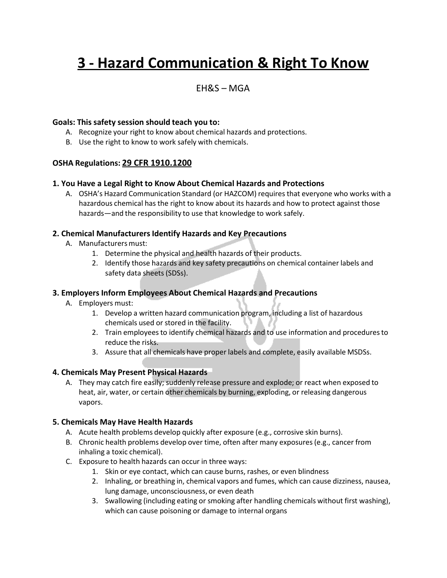# **3 - Hazard Communication & Right To Know**

### EH&S – MGA

#### **Goals: This safety session should teach you to:**

- A. Recognize your right to know about chemical hazards and protections.
- B. Use the right to know to work safely with chemicals.

#### **OSHA Regulations: 29 CFR 1910.1200**

#### **1. You Have a Legal Right to Know About Chemical Hazards and Protections**

A. OSHA's Hazard Communication Standard (or HAZCOM) requires that everyone who works with a hazardous chemical has the right to know about its hazards and how to protect against those hazards—and the responsibility to use that knowledge to work safely.

#### **2. Chemical ManufacturersIdentify Hazards and Key Precautions**

- A. Manufacturersmust:
	- 1. Determine the physical and health hazards of their products.
	- 2. Identify those hazards and key safety precautions on chemical container labels and safety data sheets (SDSs).

#### **3. Employers Inform Employees About Chemical Hazards and Precautions**

- A. Employers must:
	- 1. Develop a written hazard communication program, including a list of hazardous chemicals used or stored in the facility.
	- 2. Train employeesto identify chemical hazards and to use information and proceduresto reduce the risks.
	- 3. Assure that all chemicals have proper labels and complete, easily available MSDSs.

#### **4. Chemicals May Present Physical Hazards**

A. They may catch fire easily; suddenly release pressure and explode; or react when exposed to heat, air, water, or certain other chemicals by burning, exploding, or releasing dangerous vapors.

#### **5. Chemicals May Have Health Hazards**

- A. Acute health problems develop quickly after exposure (e.g., corrosive skin burns).
- B. Chronic health problems develop over time, often after many exposures (e.g., cancer from inhaling a toxic chemical).
- C. Exposure to health hazards can occur in three ways:
	- 1. Skin or eye contact, which can cause burns, rashes, or even blindness
	- 2. Inhaling, or breathing in, chemical vapors and fumes, which can cause dizziness, nausea, lung damage, unconsciousness, or even death
	- 3. Swallowing (including eating or smoking after handling chemicals without first washing), which can cause poisoning or damage to internal organs